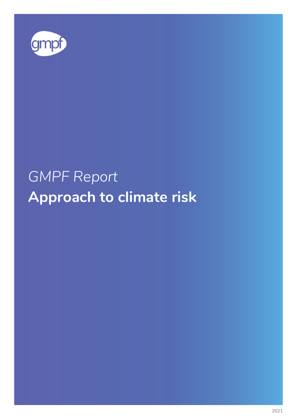

# *GMPF Report* **Approach to climate risk**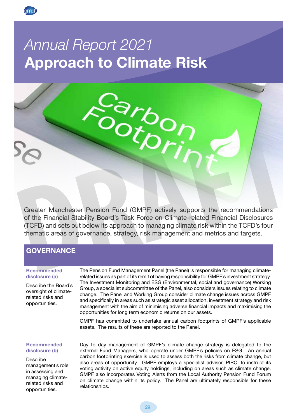

## *Annual Report 2021*  **Approach to Climate Risk**



## **GOVERNANCE**

#### **Recommended disclosure (a)**

Describe the Board's oversight of climaterelated risks and opportunities.

The Pension Fund Management Panel (the Panel) is responsible for managing climaterelated issues as part of its remit of having responsibility for GMPF's investment strategy. The Investment Monitoring and ESG (Environmental, social and governance) Working Group, a specialist subcommittee of the Panel, also considers issues relating to climate change. The Panel and Working Group consider climate change issues across GMPF and specifically in areas such as strategic asset allocation, investment strategy and risk management with the aim of minimising adverse financial impacts and maximising the opportunities for long term economic returns on our assets.

GMPF has committed to undertake annual carbon footprints of GMPF's applicable assets. The results of these are reported to the Panel.

## **Recommended disclosure (b)**

Describe management's role in assessing and managing climaterelated risks and opportunities.

Day to day management of GMPF's climate change strategy is delegated to the external Fund Managers, who operate under GMPF's policies on ESG. An annual carbon footprinting exercise is used to assess both the risks from climate change, but also areas of opportunity. GMPF employs a specialist advisor, PIRC, to instruct its voting activity on active equity holdings, including on areas such as climate change. GMPF also incorporates Voting Alerts from the Local Authority Pension Fund Forum on climate change within its policy. The Panel are ultimately responsible for these relationships.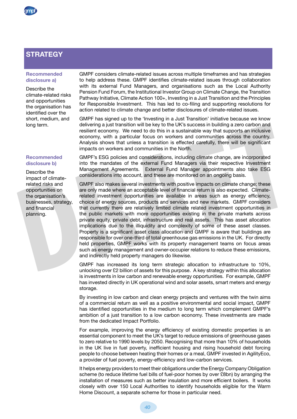## **STRATEGY**

## **Recommended disclosure a)**

Describe the climate-related risks and opportunities the organisation has identified over the short, medium, and long term.

## **Recommended disclosure b)**

Describe the impact of climaterelated risks and opportunities on the organisation's businesses, strategy, and financial planning.

GMPF considers climate-related issues across multiple timeframes and has strategies to help address these. GMPF identifies climate-related issues through collaboration with its external Fund Managers, and organisations such as the Local Authority Pension Fund Forum, the Institutional Investor Group on Climate Change, the Transition Pathway Initiative, Climate Action 100+, Investing in a Just Transition and the Principles for Responsible Investment. This has led to co-filing and supporting resolutions for action related to climate change and better disclosures of climate-related issues.

GMPF has signed up to the 'Investing in a Just Transition' initiative because we know delivering a just transition will be key to the UK's success in building a zero carbon and resilient economy. We need to do this in a sustainable way that supports an inclusive economy, with a particular focus on workers and communities across the country. Analysis shows that unless a transition is effected carefully, there will be significant impacts on workers and communities in the North.

GMPF's ESG policies and considerations, including climate change, are incorporated into the mandates of the external Fund Managers via their respective Investment Management Agreements. External Fund Manager appointments also take ESG considerations into account, and these are monitored on an ongoing basis.

for each care the mand particle manniform will be responsed to the U.K. Stockess in bulland a zero caronomy, when a resilient economy. We need to do this in a sustainable way that supports an inclusive economy, with a part GMPF also makes several investments with positive impacts on climate change; these are only made where an acceptable level of financial return is also expected. Climaterelated investment opportunities are available in areas such as energy efficiency, choice of energy sources, products and services and new markets. GMPF considers that currently there are relatively limited climate related investment opportunities in the public markets with more opportunities existing in the private markets across private equity, private debt, infrastructure and real assets. This has asset allocation implications due to the illiquidity and complexity of some of these asset classes. Property is a significant asset class allocation and GMPF is aware that buildings are responsible for over one-third of total greenhouse gas emissions in the UK. For directly held properties, GMPF works with its property management teams on focus areas such as energy management and owner-occupier relations to reduce these emissions, and indirectly held property managers do likewise.

GMPF has increased its long term strategic allocation to infrastructure to 10%, unlocking over £2 billion of assets for this purpose. A key strategy within this allocation is investments in low carbon and renewable energy opportunities. For example, GMPF has invested directly in UK operational wind and solar assets, smart meters and energy storage.

By investing in low carbon and clean energy projects and ventures with the twin aims of a commercial return as well as a positive environmental and social impact, GMPF has identified opportunities in the medium to long term which complement GMPF's ambition of a just transition to a low carbon economy. These investments are made from the dedicated Impact Portfolio.

For example, improving the energy efficiency of existing domestic properties is an essential component to meet the UK's target to reduce emissions of greenhouse gases to zero relative to 1990 levels by 2050. Recognising that more than 10% of households in the UK live in fuel poverty, inefficient housing and rising household debt forcing people to choose between heating their homes or a meal, GMPF invested in AgilityEco, a provider of fuel poverty, energy-efficiency and low-carbon services.

It helps energy providers to meet their obligations under the Energy Company Obligation scheme (to reduce lifetime fuel bills of fuel-poor homes by over £8bn) by arranging the installation of measures such as better insulation and more efficient boilers. It works closely with over 150 Local Authorities to identify households eligible for the Warm Home Discount, a separate scheme for those in particular need.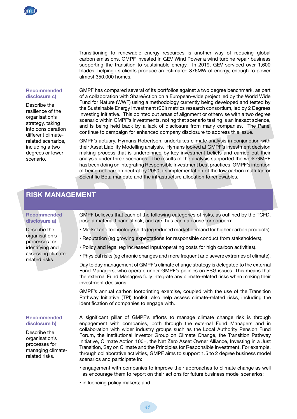Transitioning to renewable energy resources is another way of reducing global carbon emissions. GMPF invested in GEV Wind Power a wind turbine repair business supporting the transition to sustainable energy. In 2019, GEV serviced over 1,600 blades, helping its clients produce an estimated 376MW of energy, enough to power almost 350,000 homes.

#### **Recommended disclosure c)**

Describe the resilience of the organisation's strategy, taking into consideration different climaterelated scenarios, including a two degrees or lower scenario.

GMPF has compared several of its portfolios against a two degree benchmark, as part of a collaboration with ShareAction on a European-wide project led by the World Wide Fund for Nature (WWF) using a methodology currently being developed and tested by the Sustainable Energy Investment (SEI) metrics research consortium, led by 2 Degrees Investing Initiative. This pointed out areas of alignment or otherwise with a two degree scenario within GMPF's investments, noting that scenario testing is an inexact science, and is being held back by a lack of disclosure from many companies. The Panel continue to campaign for enhanced company disclosure to address this issue.

onsideration<br>
into consideration<br>
ontitiue to campaign for enhanced company disclosure to address this issue.<br>
different climate-<br>
different climate of consideration, undertakes climate analysis in conjunction with<br>
includ GMPF's actuary, Hymans Robertson, undertakes climate analysis in conjunction with their Asset Liability Modelling analysis. Hymans looked at GMPF's investment decision making process that is underpinned by key investment beliefs and carried out their analysis under three scenarios. The results of the analysis supported the work GMPF has been doing on integrating Responsible Investment best practices, GMPF's intention of being net carbon neutral by 2050, its implementation of the low carbon multi factor Scientific Beta mandate and the infrastructure allocation to renewables.

## **RISK MANAGEMENT**

## **Recommended disclosure a)**

Describe the organisation's processes for identifying and assessing climaterelated risks.

GMPF believes that each of the following categories of risks, as outlined by the TCFD, pose a material financial risk, and are thus each a cause for concern:

- Market and technology shifts (eg reduced market demand for higher carbon products).
- Reputation (eg growing expectations for responsible conduct from stakeholders).
- Policy and legal (eg increased input/operating costs for high carbon activities).
- Physical risks (eg chronic changes and more frequent and severe extremes of climate).

Day to day management of GMPF's climate change strategy is delegated to the external Fund Managers, who operate under GMPF's policies on ESG issues. This means that the external Fund Managers fully integrate any climate-related risks when making their investment decisions.

GMPF's annual carbon footprinting exercise, coupled with the use of the Transition Pathway Initiative (TPI) toolkit, also help assess climate-related risks, including the identification of companies to engage with.

## **Recommended disclosure b)**

Describe the organisation's processes for managing climaterelated risks.

A significant pillar of GMPF's efforts to manage climate change risk is through engagement with companies, both through the external Fund Managers and in collaboration with wider industry groups such as the Local Authority Pension Fund Forum, the Institutional Investor Group on Climate Change, the Transition Pathway Initiative, Climate Action 100+, the Net Zero Asset Owner Alliance, Investing in a Just Transition, Say on Climate and the Principles for Responsible Investment. For example, through collaborative activities, GMPF aims to support 1.5 to 2 degree business model scenarios and participate in:

- engagement with companies to improve their approaches to climate change as well as encourage them to report on their actions for future business model scenarios;
- influencing policy makers; and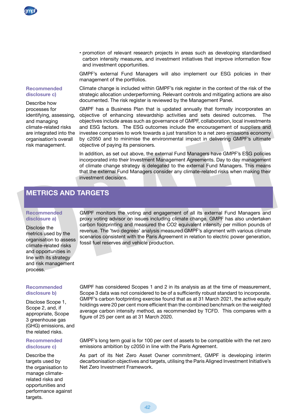• promotion of relevant research projects in areas such as developing standardised carbon intensity measures, and investment initiatives that improve information flow and investment opportunities.

GMPF's external Fund Managers will also implement our ESG policies in their management of the portfolios.

#### **Recommended disclosure c)**

Describe how processes for identifying, assessing, and managing climate-related risks are integrated into the organisation's overall risk management.

Climate change is included within GMPF's risk register in the context of the risk of the strategic allocation underperforming. Relevant controls and mitigating actions are also documented. The risk register is reviewed by the Management Panel.

GMPF has a Business Plan that is updated annually that formally incorporates an objective of enhancing stewardship activities and sets desired outcomes. The objectives include areas such as governance of GMPF, collaboration, local investments and ESG factors. The ESG outcomes include the encouragement of suppliers and investee companies to work towards a just transition to a net zero emissions economy by c2050 and to minimise the environmental impact in delivering GMPF's ultimate objective of paying its pensioners.

In addition, as set out above, the external Fund Managers have GMPF's ESG policies incorporated into their Investment Management Agreements. Day to day management of climate change strategy is delegated to the external Fund Managers. This means that the external Fund Managers consider any climate-related risks when making their investment decisions.

## **METRICS AND TARGETS**

## **Recommended disclosure a)**

Disclose the metrics used by the organisation to assess climate-related risks and opportunities in line with its strategy and risk management process.

## **Recommended disclosure b)**

Disclose Scope 1, Scope 2, and, if appropriate, Scope 3 greenhouse gas (GHG) emissions, and the related risks.

## **Recommended disclosure c)**

Describe the targets used by the organisation to manage climaterelated risks and opportunities and performance against targets.

climate-related risks and ESG factors. The ESG cutcomes include the encouragement of suppliers and<br>the minestee companies to work towards a just transition to a net zero emissions economy<br>organisation's overall by c2050 an GMPF monitors the voting and engagement of all its external Fund Managers and proxy voting advisor on issues including climate change. GMPF has also undertaken carbon footprinting and measured the CO2 equivalent intensity per million pounds of revenue. The 'two degrees' analysis measured GMPF's alignment with various climate scenarios consistent with the Paris Agreement in relation to electric power generation, fossil fuel reserves and vehicle production.

> GMPF has considered Scopes 1 and 2 in its analysis as at the time of measurement, Scope 3 data was not considered to be of a sufficiently robust standard to incorporate. GMPF's carbon footprinting exercise found that as at 31 March 2021, the active equity holdings were 20 per cent more efficient than the combined benchmark on the weighted average carbon intensity method, as recommended by TCFD. This compares with a figure of 25 per cent as at 31 March 2020.

> GMPF's long term goal is for 100 per cent of assets to be compatible with the net zero emissions ambition by c2050 in line with the Paris Agreement.

> As part of its Net Zero Asset Owner commitment, GMPF is developing interim decarbonisation objectives and targets, utilising the Paris Aligned Investment Initiative's Net Zero Investment Framework.